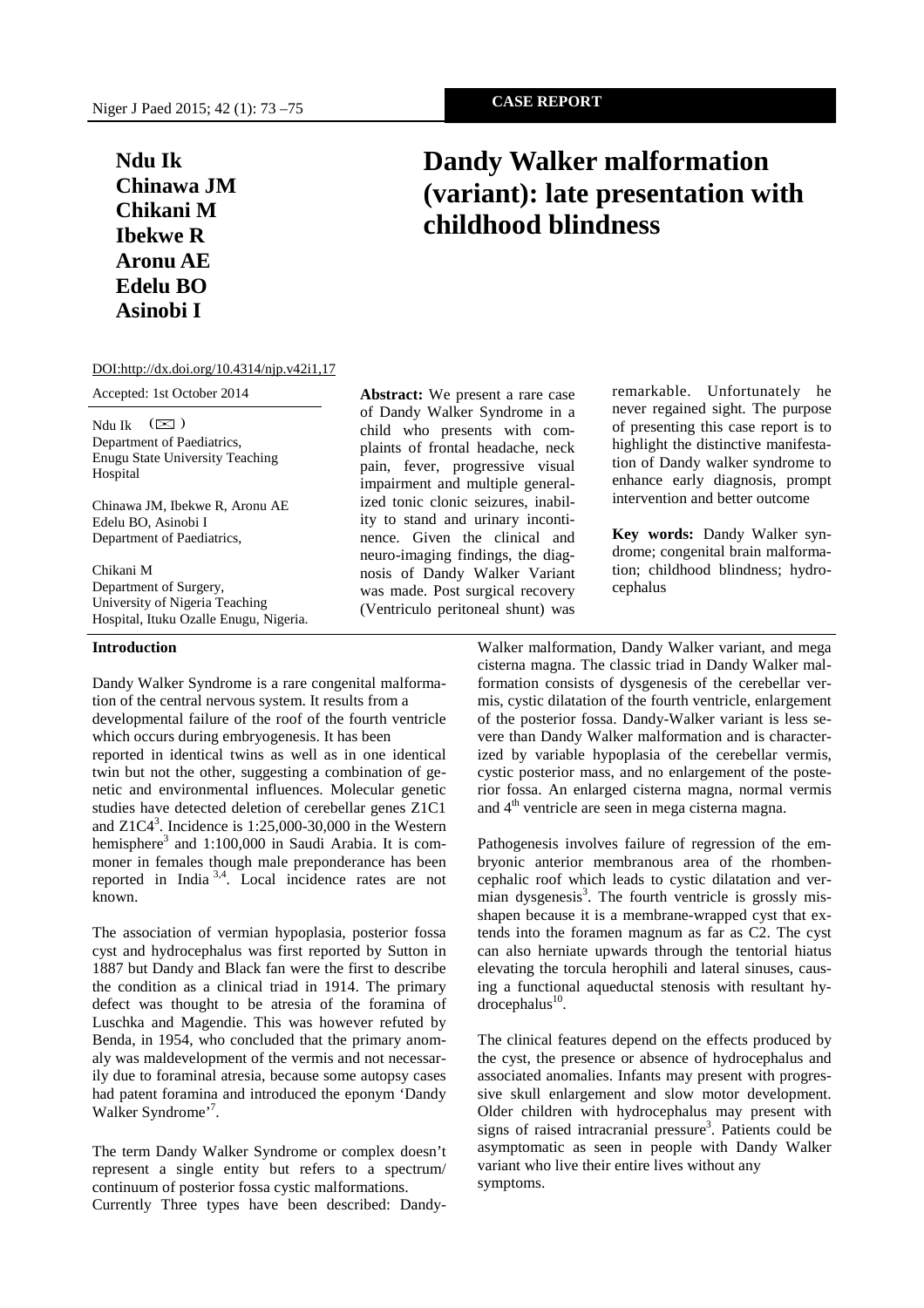# **Ndu Ik Chinawa JM Chikani M Ibekwe R Aronu AE Edelu BO Asinobi I**

# **Dandy Walker malformation (variant): late presentation with childhood blindness**

#### DOI:http://dx.doi.org/10.4314/njp.v42i1,17

Accepted: 1st October 2014

Ndu Ik  $(\boxtimes)$ Department of Paediatrics, Enugu State University Teaching Hospital

Chinawa JM, Ibekwe R, Aronu AE Edelu BO, Asinobi I Department of Paediatrics,

Chikani M Department of Surgery, University of Nigeria Teaching Hospital, Ituku Ozalle Enugu, Nigeria.

#### **Introduction**

known.

Dandy Walker Syndrome is a rare congenital malformation of the central nervous system. It results from a developmental failure of the roof of the fourth ventricle which occurs during embryogenesis. It has been reported in identical twins as well as in one identical twin but not the other, suggesting a combination of genetic and environmental influences. Molecular genetic studies have detected deletion of cerebellar genes Z1C1 and Z1C4<sup>3</sup>. Incidence is 1:25,000-30,000 in the Western hemisphere<sup>3</sup> and 1:100,000 in Saudi Arabia. It is commoner in females though male preponderance has been reported in India 3,4. Local incidence rates are not

The association of vermian hypoplasia, posterior fossa cyst and hydrocephalus was first reported by Sutton in 1887 but Dandy and Black fan were the first to describe the condition as a clinical triad in 1914. The primary defect was thought to be atresia of the foramina of Luschka and Magendie. This was however refuted by Benda, in 1954, who concluded that the primary anomaly was maldevelopment of the vermis and not necessarily due to foraminal atresia, because some autopsy cases had patent foramina and introduced the eponym 'Dandy Walker Syndrome'<sup>7</sup>.

The term Dandy Walker Syndrome or complex doesn't represent a single entity but refers to a spectrum/ continuum of posterior fossa cystic malformations. Currently Three types have been described: Dandy-

**Abstract:** We present a rare case of Dandy Walker Syndrome in a child who presents with complaints of frontal headache, neck pain, fever, progressive visual impairment and multiple generalized tonic clonic seizures, inability to stand and urinary incontinence. Given the clinical and neuro-imaging findings, the diagnosis of Dandy Walker Variant was made. Post surgical recovery (Ventriculo peritoneal shunt) was remarkable. Unfortunately he never regained sight. The purpose of presenting this case report is to highlight the distinctive manifestation of Dandy walker syndrome to enhance early diagnosis, prompt intervention and better outcome

**Key words:** Dandy Walker syndrome; congenital brain malformation; childhood blindness; hydrocephalus

Walker malformation, Dandy Walker variant, and mega cisterna magna. The classic triad in Dandy Walker malformation consists of dysgenesis of the cerebellar vermis, cystic dilatation of the fourth ventricle, enlargement of the posterior fossa. Dandy-Walker variant is less severe than Dandy Walker malformation and is characterized by variable hypoplasia of the cerebellar vermis, cystic posterior mass, and no enlargement of the posterior fossa. An enlarged cisterna magna, normal vermis and 4th ventricle are seen in mega cisterna magna.

Pathogenesis involves failure of regression of the embryonic anterior membranous area of the rhombencephalic roof which leads to cystic dilatation and vermian dysgenesis<sup>3</sup>. The fourth ventricle is grossly misshapen because it is a membrane-wrapped cyst that extends into the foramen magnum as far as C2. The cyst can also herniate upwards through the tentorial hiatus elevating the torcula herophili and lateral sinuses, causing a functional aqueductal stenosis with resultant hy $drocephalus<sup>10</sup>$ .

The clinical features depend on the effects produced by the cyst, the presence or absence of hydrocephalus and associated anomalies. Infants may present with progressive skull enlargement and slow motor development. Older children with hydrocephalus may present with signs of raised intracranial pressure<sup>3</sup>. Patients could be asymptomatic as seen in people with Dandy Walker variant who live their entire lives without any symptoms.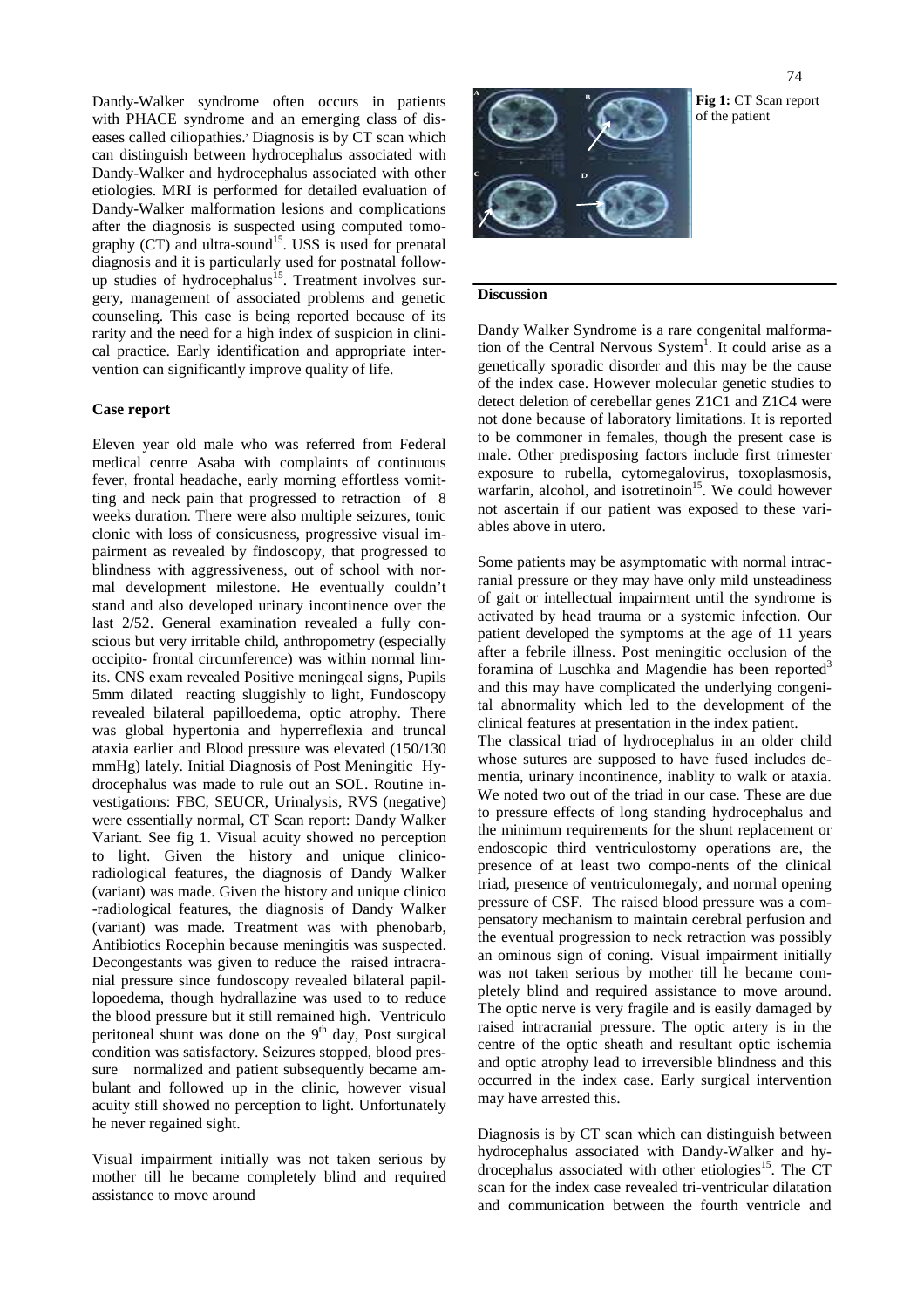Dandy-Walker syndrome often occurs in patients with PHACE syndrome and an emerging class of diseases called ciliopathies.' Diagnosis is by CT scan which can distinguish between hydrocephalus associated with Dandy-Walker and hydrocephalus associated with other etiologies. MRI is performed for detailed evaluation of Dandy-Walker malformation lesions and complications after the diagnosis is suspected using computed tomography  $(CT)$  and ultra-sound<sup>15</sup>. USS is used for prenatal diagnosis and it is particularly used for postnatal followup studies of hydrocephalus<sup>15</sup>. Treatment involves surgery, management of associated problems and genetic counseling. This case is being reported because of its rarity and the need for a high index of suspicion in clinical practice. Early identification and appropriate intervention can significantly improve quality of life.

#### **Case report**

Eleven year old male who was referred from Federal medical centre Asaba with complaints of continuous fever, frontal headache, early morning effortless vomitting and neck pain that progressed to retraction of 8 weeks duration. There were also multiple seizures, tonic clonic with loss of consicusness, progressive visual impairment as revealed by findoscopy, that progressed to blindness with aggressiveness, out of school with normal development milestone. He eventually couldn't stand and also developed urinary incontinence over the last 2/52. General examination revealed a fully conscious but very irritable child, anthropometry (especially occipito- frontal circumference) was within normal limits. CNS exam revealed Positive meningeal signs, Pupils 5mm dilated reacting sluggishly to light, Fundoscopy revealed bilateral papilloedema, optic atrophy. There was global hypertonia and hyperreflexia and truncal ataxia earlier and Blood pressure was elevated (150/130 mmHg) lately. Initial Diagnosis of Post Meningitic Hydrocephalus was made to rule out an SOL. Routine investigations: FBC, SEUCR, Urinalysis, RVS (negative) were essentially normal, CT Scan report: Dandy Walker Variant. See fig 1. Visual acuity showed no perception to light. Given the history and unique clinicoradiological features, the diagnosis of Dandy Walker (variant) was made. Given the history and unique clinico -radiological features, the diagnosis of Dandy Walker (variant) was made. Treatment was with phenobarb, Antibiotics Rocephin because meningitis was suspected. Decongestants was given to reduce the raised intracranial pressure since fundoscopy revealed bilateral papillopoedema, though hydrallazine was used to to reduce the blood pressure but it still remained high. Ventriculo peritoneal shunt was done on the  $9<sup>th</sup>$  day, Post surgical condition was satisfactory. Seizures stopped, blood pressure normalized and patient subsequently became ambulant and followed up in the clinic, however visual acuity still showed no perception to light. Unfortunately he never regained sight.

Visual impairment initially was not taken serious by mother till he became completely blind and required assistance to move around



#### **Discussion**

Dandy Walker Syndrome is a rare congenital malformation of the Central Nervous System<sup>1</sup>. It could arise as a genetically sporadic disorder and this may be the cause of the index case. However molecular genetic studies to detect deletion of cerebellar genes Z1C1 and Z1C4 were not done because of laboratory limitations. It is reported to be commoner in females, though the present case is male. Other predisposing factors include first trimester exposure to rubella, cytomegalovirus, toxoplasmosis, warfarin, alcohol, and isotretinoin $15$ . We could however not ascertain if our patient was exposed to these variables above in utero.

Some patients may be asymptomatic with normal intracranial pressure or they may have only mild unsteadiness of gait or intellectual impairment until the syndrome is activated by head trauma or a systemic infection. Our patient developed the symptoms at the age of 11 years after a febrile illness. Post meningitic occlusion of the foramina of Luschka and Magendie has been reported<sup>3</sup> and this may have complicated the underlying congenital abnormality which led to the development of the clinical features at presentation in the index patient. The classical triad of hydrocephalus in an older child whose sutures are supposed to have fused includes dementia, urinary incontinence, inablity to walk or ataxia. We noted two out of the triad in our case. These are due to pressure effects of long standing hydrocephalus and the minimum requirements for the shunt replacement or endoscopic third ventriculostomy operations are, the presence of at least two compo-nents of the clinical triad, presence of ventriculomegaly, and normal opening pressure of CSF*.* The raised blood pressure was a compensatory mechanism to maintain cerebral perfusion and the eventual progression to neck retraction was possibly an ominous sign of coning. Visual impairment initially was not taken serious by mother till he became completely blind and required assistance to move around. The optic nerve is very fragile and is easily damaged by

raised intracranial pressure. The optic artery is in the centre of the optic sheath and resultant optic ischemia and optic atrophy lead to irreversible blindness and this occurred in the index case. Early surgical intervention may have arrested this.

Diagnosis is by CT scan which can distinguish between hydrocephalus associated with Dandy-Walker and hydrocephalus associated with other etiologies<sup>15</sup>. The CT scan for the index case revealed tri-ventricular dilatation and communication between the fourth ventricle and